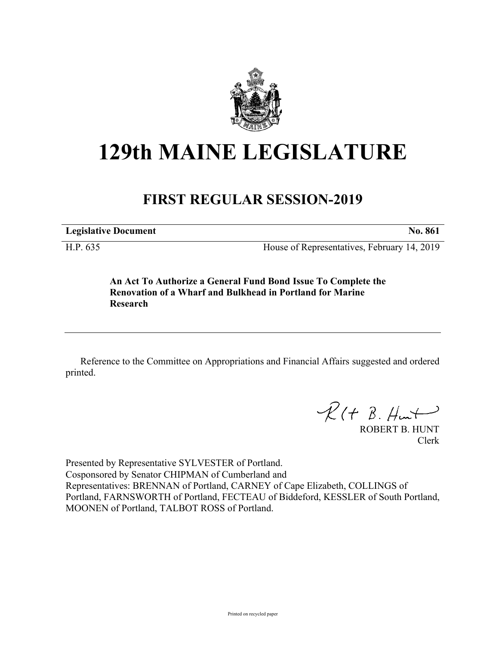

## **129th MAINE LEGISLATURE**

## **FIRST REGULAR SESSION-2019**

**Legislative Document No. 861**

H.P. 635 House of Representatives, February 14, 2019

**An Act To Authorize a General Fund Bond Issue To Complete the Renovation of a Wharf and Bulkhead in Portland for Marine Research**

Reference to the Committee on Appropriations and Financial Affairs suggested and ordered printed.

 $R(H B. H<sub>ur</sub>)$ 

ROBERT B. HUNT Clerk

Presented by Representative SYLVESTER of Portland. Cosponsored by Senator CHIPMAN of Cumberland and Representatives: BRENNAN of Portland, CARNEY of Cape Elizabeth, COLLINGS of Portland, FARNSWORTH of Portland, FECTEAU of Biddeford, KESSLER of South Portland, MOONEN of Portland, TALBOT ROSS of Portland.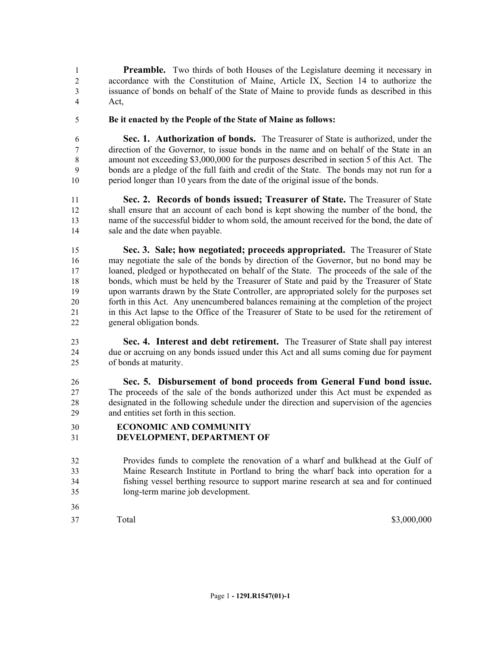**Preamble.** Two thirds of both Houses of the Legislature deeming it necessary in accordance with the Constitution of Maine, Article IX, Section 14 to authorize the issuance of bonds on behalf of the State of Maine to provide funds as described in this Act,

**Be it enacted by the People of the State of Maine as follows:**

 **Sec. 1. Authorization of bonds.** The Treasurer of State is authorized, under the direction of the Governor, to issue bonds in the name and on behalf of the State in an amount not exceeding \$3,000,000 for the purposes described in section 5 of this Act. The bonds are a pledge of the full faith and credit of the State. The bonds may not run for a period longer than 10 years from the date of the original issue of the bonds.

 **Sec. 2. Records of bonds issued; Treasurer of State.** The Treasurer of State shall ensure that an account of each bond is kept showing the number of the bond, the name of the successful bidder to whom sold, the amount received for the bond, the date of sale and the date when payable.

 **Sec. 3. Sale; how negotiated; proceeds appropriated.** The Treasurer of State may negotiate the sale of the bonds by direction of the Governor, but no bond may be loaned, pledged or hypothecated on behalf of the State. The proceeds of the sale of the bonds, which must be held by the Treasurer of State and paid by the Treasurer of State upon warrants drawn by the State Controller, are appropriated solely for the purposes set forth in this Act. Any unencumbered balances remaining at the completion of the project in this Act lapse to the Office of the Treasurer of State to be used for the retirement of general obligation bonds.

 **Sec. 4. Interest and debt retirement.** The Treasurer of State shall pay interest due or accruing on any bonds issued under this Act and all sums coming due for payment of bonds at maturity.

 **Sec. 5. Disbursement of bond proceeds from General Fund bond issue.**  The proceeds of the sale of the bonds authorized under this Act must be expended as designated in the following schedule under the direction and supervision of the agencies and entities set forth in this section.

## **ECONOMIC AND COMMUNITY DEVELOPMENT, DEPARTMENT OF**

- Provides funds to complete the renovation of a wharf and bulkhead at the Gulf of Maine Research Institute in Portland to bring the wharf back into operation for a fishing vessel berthing resource to support marine research at sea and for continued long-term marine job development.
- 

Total \$3,000,000 \$3,000,000 \$3,000,000 \$3,000,000 \$3,000,000 \$3,000,000 \$3,000,000 \$3,000 \$5,000 \$1,000 \$1,000 \$1,000 \$1,000 \$1,000 \$1,000 \$1,000 \$1,000 \$1,000 \$1,000 \$1,000 \$1,000 \$1,000 \$1,000 \$1,000 \$1,000 \$1,000 \$1,000